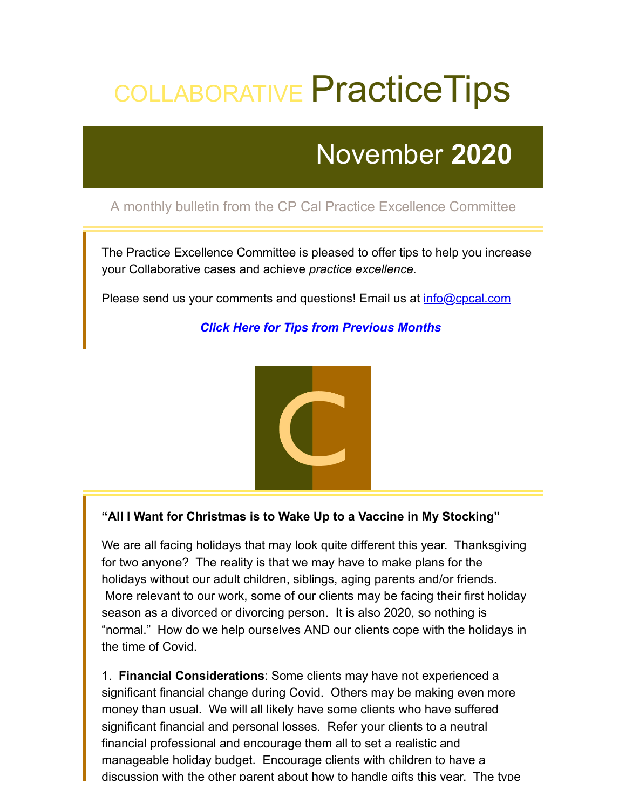## COLLABORATIVE Practice Tips

### November **2020**

#### A monthly bulletin from the CP Cal Practice Excellence Committee

The Practice Excellence Committee is pleased to offer tips to help you increase your Collaborative cases and achieve *practice excellence.*

Please send us your comments and questions! Email us at *[info@cpcal.com](mailto:info@cpcal.com)* 

*[Click Here for Tips from Previous Months](http://www.cpcal.com/for-professionals/practice-tips-newsletter/)*



#### **"All I Want for Christmas is to Wake Up to a Vaccine in My Stocking"**

We are all facing holidays that may look quite different this year. Thanksgiving for two anyone? The reality is that we may have to make plans for the holidays without our adult children, siblings, aging parents and/or friends. More relevant to our work, some of our clients may be facing their first holiday season as a divorced or divorcing person. It is also 2020, so nothing is "normal." How do we help ourselves AND our clients cope with the holidays in the time of Covid.

1. **Financial Considerations**: Some clients may have not experienced a significant financial change during Covid. Others may be making even more money than usual. We will all likely have some clients who have suffered significant financial and personal losses. Refer your clients to a neutral financial professional and encourage them all to set a realistic and manageable holiday budget. Encourage clients with children to have a discussion with the other parent about how to handle gifts this year. The type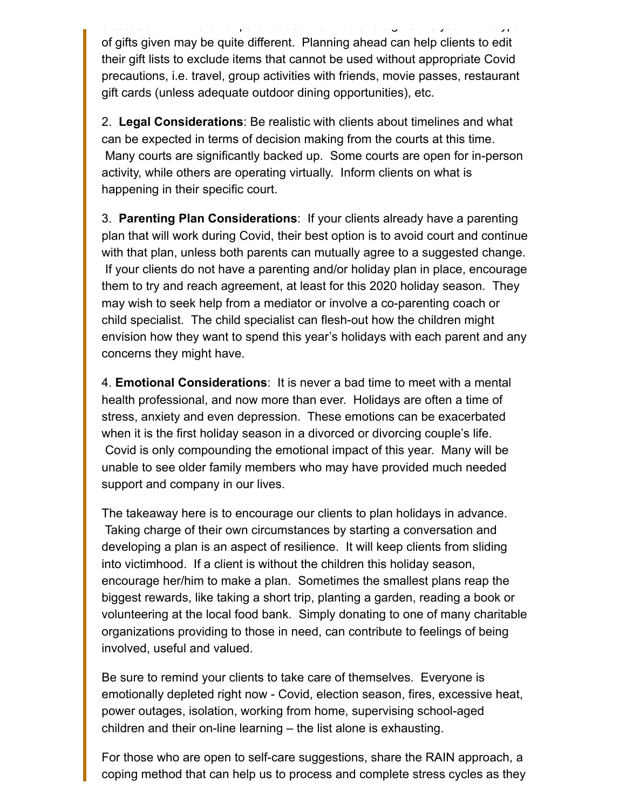d scuss o to a d e g ts t e otros to a d e g ts t about o to a d e g ts t about o to a d e g ts t s year e typ<br>The security of the g transformation of the g transformation of the g transformation of the g transformation o of gifts given may be quite different. Planning ahead can help clients to edit their gift lists to exclude items that cannot be used without appropriate Covid precautions, i.e. travel, group activities with friends, movie passes, restaurant gift cards (unless adequate outdoor dining opportunities), etc.

2. **Legal Considerations**: Be realistic with clients about timelines and what can be expected in terms of decision making from the courts at this time. Many courts are significantly backed up. Some courts are open for in-person activity, while others are operating virtually. Inform clients on what is happening in their specific court.

3. **Parenting Plan Considerations**: If your clients already have a parenting plan that will work during Covid, their best option is to avoid court and continue with that plan, unless both parents can mutually agree to a suggested change. If your clients do not have a parenting and/or holiday plan in place, encourage them to try and reach agreement, at least for this 2020 holiday season. They may wish to seek help from a mediator or involve a co-parenting coach or child specialist. The child specialist can flesh-out how the children might envision how they want to spend this year's holidays with each parent and any concerns they might have.

4. **Emotional Considerations**: It is never a bad time to meet with a mental health professional, and now more than ever. Holidays are often a time of stress, anxiety and even depression. These emotions can be exacerbated when it is the first holiday season in a divorced or divorcing couple's life. Covid is only compounding the emotional impact of this year. Many will be unable to see older family members who may have provided much needed support and company in our lives.

The takeaway here is to encourage our clients to plan holidays in advance. Taking charge of their own circumstances by starting a conversation and developing a plan is an aspect of resilience. It will keep clients from sliding into victimhood. If a client is without the children this holiday season, encourage her/him to make a plan. Sometimes the smallest plans reap the biggest rewards, like taking a short trip, planting a garden, reading a book or volunteering at the local food bank. Simply donating to one of many charitable organizations providing to those in need, can contribute to feelings of being involved, useful and valued.

Be sure to remind your clients to take care of themselves. Everyone is emotionally depleted right now - Covid, election season, fires, excessive heat, power outages, isolation, working from home, supervising school-aged children and their on-line learning – the list alone is exhausting.

For those who are open to self-care suggestions, share the RAIN approach, a coping method that can help us to process and complete stress cycles as they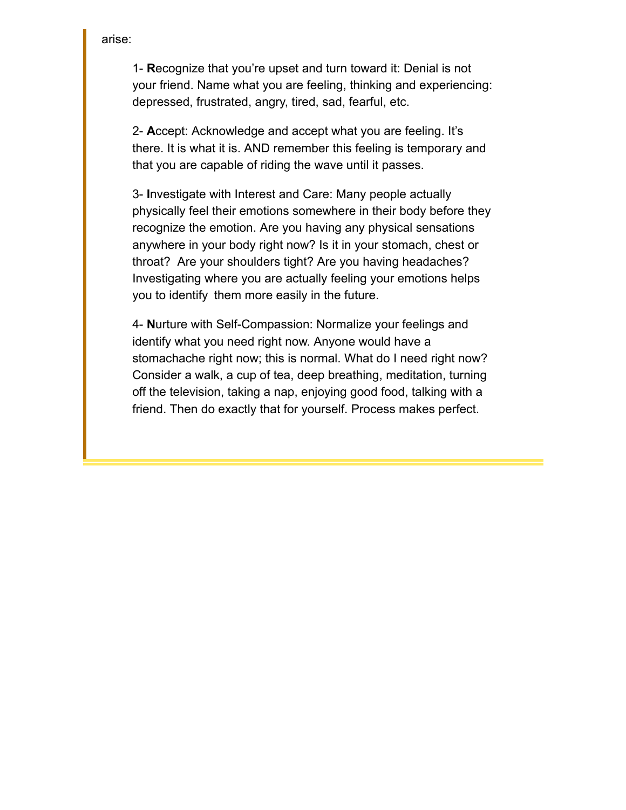arise:

1- **R**ecognize that you're upset and turn toward it: Denial is not your friend. Name what you are feeling, thinking and experiencing: depressed, frustrated, angry, tired, sad, fearful, etc.

2- **A**ccept: Acknowledge and accept what you are feeling. It's there. It is what it is. AND remember this feeling is temporary and that you are capable of riding the wave until it passes.

3- **I**nvestigate with Interest and Care: Many people actually physically feel their emotions somewhere in their body before they recognize the emotion. Are you having any physical sensations anywhere in your body right now? Is it in your stomach, chest or throat? Are your shoulders tight? Are you having headaches? Investigating where you are actually feeling your emotions helps you to identify them more easily in the future.

4- **N**urture with Self-Compassion: Normalize your feelings and identify what you need right now. Anyone would have a stomachache right now; this is normal. What do I need right now? Consider a walk, a cup of tea, deep breathing, meditation, turning off the television, taking a nap, enjoying good food, talking with a friend. Then do exactly that for yourself. Process makes perfect.